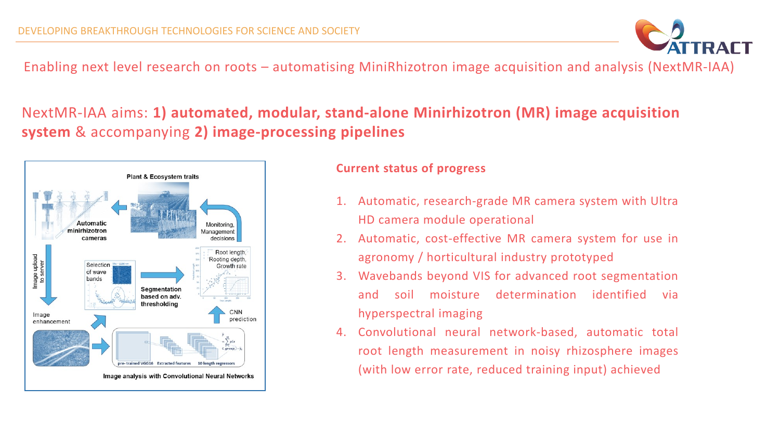Enabling next level research on roots – automatising MiniRhizotron image acquisition and analysis (NextMR-IAA)

## NextMR-IAA aims: **1) automated, modular, stand-alone Minirhizotron (MR) image acquisition system** & accompanying **2) image-processing pipelines**



## **Current status of progress**

- 1. Automatic, research-grade MR camera system with Ultra HD camera module operational
- 2. Automatic, cost-effective MR camera system for use in agronomy / horticultural industry prototyped
- 3. Wavebands beyond VIS for advanced root segmentation and soil moisture determination identified via hyperspectral imaging
- 4. Convolutional neural network-based, automatic total root length measurement in noisy rhizosphere images (with low error rate, reduced training input) achieved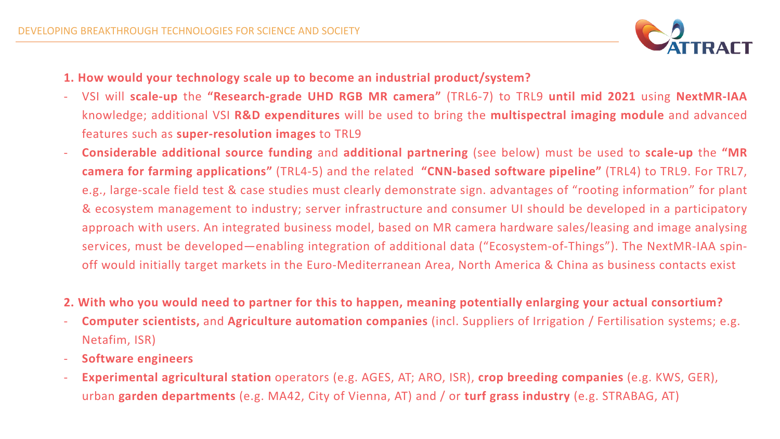

- **1. How would your technology scale up to become an industrial product/system?**
- VSI will **scale-up** the **"Research-grade UHD RGB MR camera"** (TRL6-7) to TRL9 **until mid 2021** using **NextMR-IAA** knowledge; additional VSI **R&D expenditures** will be used to bring the **multispectral imaging module** and advanced features such as **super-resolution images** to TRL9
- **Considerable additional source funding** and **additional partnering** (see below) must be used to **scale-up** the **"MR camera for farming applications"** (TRL4-5) and the related **"CNN-based software pipeline"** (TRL4) to TRL9. For TRL7, e.g., large-scale field test & case studies must clearly demonstrate sign. advantages of "rooting information" for plant & ecosystem management to industry; server infrastructure and consumer UI should be developed in a participatory approach with users. An integrated business model, based on MR camera hardware sales/leasing and image analysing services, must be developed—enabling integration of additional data ("Ecosystem-of-Things"). The NextMR-IAA spinoff would initially target markets in the Euro-Mediterranean Area, North America & China as business contacts exist
- **2. With who you would need to partner for this to happen, meaning potentially enlarging your actual consortium?**
- **Computer scientists,** and **Agriculture automation companies** (incl. Suppliers of Irrigation / Fertilisation systems; e.g. Netafim, ISR)
- **Software engineers**
- **Experimental agricultural station** operators (e.g. AGES, AT; ARO, ISR), **crop breeding companies** (e.g. KWS, GER), urban **garden departments** (e.g. MA42, City of Vienna, AT) and / or **turf grass industry** (e.g. STRABAG, AT)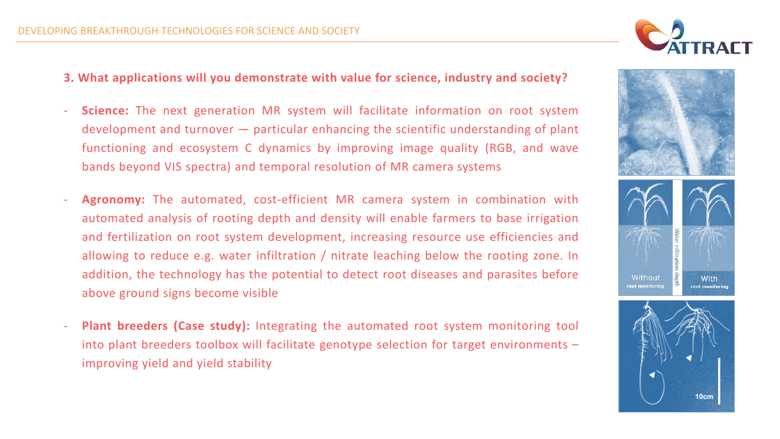## **3. What applications will you demonstrate with value for science, industry and society?**

- **Science:** The next generation MR system will facilitate information on root system development and turnover — particular enhancing the scientific understanding of plant functioning and ecosystem C dynamics by improving image quality (RGB, and wave bands beyond VIS spectra) and temporal resolution of MR camera systems
- Agronomy: The automated, cost-efficient MR camera system in combination with automated analysis of rooting depth and density will enable farmers to base irrigation and fertilization on root system development, increasing resource use efficiencies and allowing to reduce e.g. water infiltration / nitrate leaching below the rooting zone. In addition, the technology has the potential to detect root diseases and parasites before above ground signs become visible
- **Plant breeders (Case study):** Integrating the automated root system monitoring tool into plant breeders toolbox will facilitate genotype selection for target environments – improving yield and yield stability